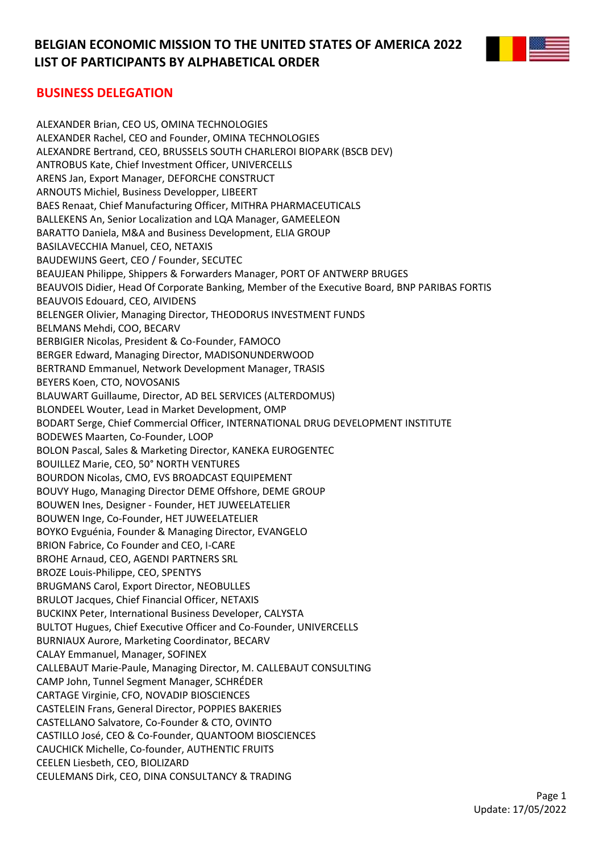

#### **BUSINESS DELEGATION**

ALEXANDER Brian, CEO US, OMINA TECHNOLOGIES ALEXANDER Rachel, CEO and Founder, OMINA TECHNOLOGIES ALEXANDRE Bertrand, CEO, BRUSSELS SOUTH CHARLEROI BIOPARK (BSCB DEV) ANTROBUS Kate, Chief Investment Officer, UNIVERCELLS ARENS Jan, Export Manager, DEFORCHE CONSTRUCT ARNOUTS Michiel, Business Developper, LIBEERT BAES Renaat, Chief Manufacturing Officer, MITHRA PHARMACEUTICALS BALLEKENS An, Senior Localization and LQA Manager, GAMEELEON BARATTO Daniela, M&A and Business Development, ELIA GROUP BASILAVECCHIA Manuel, CEO, NETAXIS BAUDEWIJNS Geert, CEO / Founder, SECUTEC BEAUJEAN Philippe, Shippers & Forwarders Manager, PORT OF ANTWERP BRUGES BEAUVOIS Didier, Head Of Corporate Banking, Member of the Executive Board, BNP PARIBAS FORTIS BEAUVOIS Edouard, CEO, AIVIDENS BELENGER Olivier, Managing Director, THEODORUS INVESTMENT FUNDS BELMANS Mehdi, COO, BECARV BERBIGIER Nicolas, President & Co-Founder, FAMOCO BERGER Edward, Managing Director, MADISONUNDERWOOD BERTRAND Emmanuel, Network Development Manager, TRASIS BEYERS Koen, CTO, NOVOSANIS BLAUWART Guillaume, Director, AD BEL SERVICES (ALTERDOMUS) BLONDEEL Wouter, Lead in Market Development, OMP BODART Serge, Chief Commercial Officer, INTERNATIONAL DRUG DEVELOPMENT INSTITUTE BODEWES Maarten, Co-Founder, LOOP BOLON Pascal, Sales & Marketing Director, KANEKA EUROGENTEC BOUILLEZ Marie, CEO, 50° NORTH VENTURES BOURDON Nicolas, CMO, EVS BROADCAST EQUIPEMENT BOUVY Hugo, Managing Director DEME Offshore, DEME GROUP BOUWEN Ines, Designer - Founder, HET JUWEELATELIER BOUWEN Inge, Co-Founder, HET JUWEELATELIER BOYKO Evguénia, Founder & Managing Director, EVANGELO BRION Fabrice, Co Founder and CEO, I-CARE BROHE Arnaud, CEO, AGENDI PARTNERS SRL BROZE Louis-Philippe, CEO, SPENTYS BRUGMANS Carol, Export Director, NEOBULLES BRULOT Jacques, Chief Financial Officer, NETAXIS BUCKINX Peter, International Business Developer, CALYSTA BULTOT Hugues, Chief Executive Officer and Co-Founder, UNIVERCELLS BURNIAUX Aurore, Marketing Coordinator, BECARV CALAY Emmanuel, Manager, SOFINEX CALLEBAUT Marie-Paule, Managing Director, M. CALLEBAUT CONSULTING CAMP John, Tunnel Segment Manager, SCHRÉDER CARTAGE Virginie, CFO, NOVADIP BIOSCIENCES CASTELEIN Frans, General Director, POPPIES BAKERIES CASTELLANO Salvatore, Co-Founder & CTO, OVINTO CASTILLO José, CEO & Co-Founder, QUANTOOM BIOSCIENCES CAUCHICK Michelle, Co-founder, AUTHENTIC FRUITS CEELEN Liesbeth, CEO, BIOLIZARD CEULEMANS Dirk, CEO, DINA CONSULTANCY & TRADING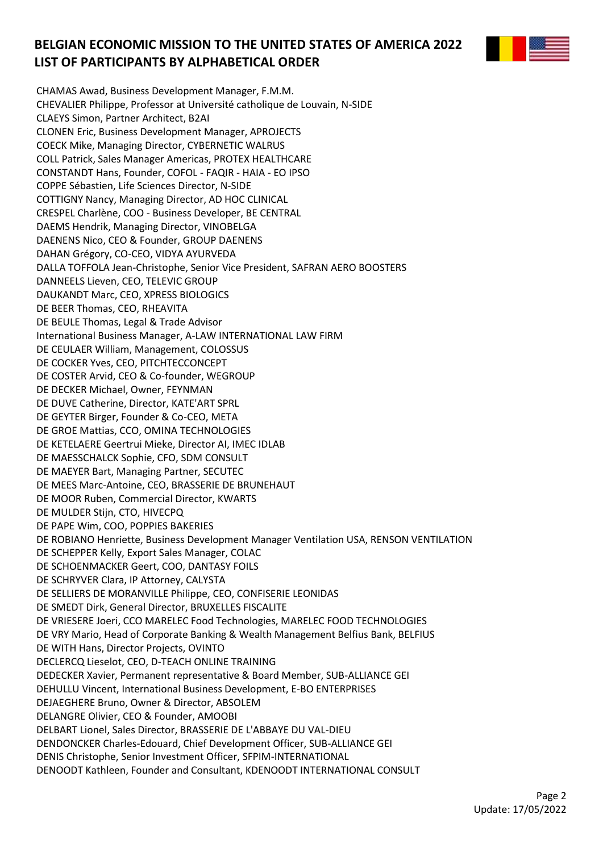

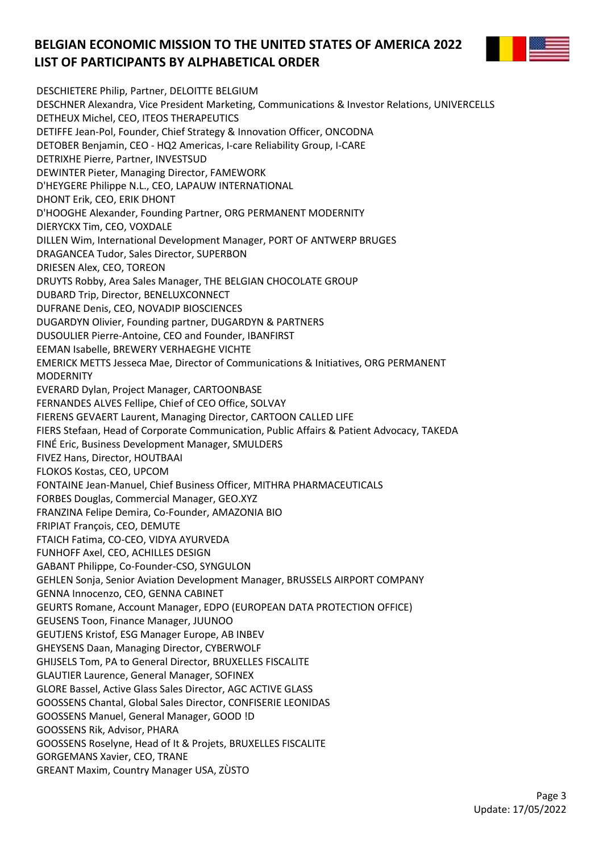

DESCHIETERE Philip, Partner, DELOITTE BELGIUM DESCHNER Alexandra, Vice President Marketing, Communications & Investor Relations, UNIVERCELLS DETHEUX Michel, CEO, ITEOS THERAPEUTICS DETIFFE Jean-Pol, Founder, Chief Strategy & Innovation Officer, ONCODNA DETOBER Benjamin, CEO - HQ2 Americas, I-care Reliability Group, I-CARE DETRIXHE Pierre, Partner, INVESTSUD DEWINTER Pieter, Managing Director, FAMEWORK D'HEYGERE Philippe N.L., CEO, LAPAUW INTERNATIONAL DHONT Erik, CEO, ERIK DHONT D'HOOGHE Alexander, Founding Partner, ORG PERMANENT MODERNITY DIERYCKX Tim, CEO, VOXDALE DILLEN Wim, International Development Manager, PORT OF ANTWERP BRUGES DRAGANCEA Tudor, Sales Director, SUPERBON DRIESEN Alex, CEO, TOREON DRUYTS Robby, Area Sales Manager, THE BELGIAN CHOCOLATE GROUP DUBARD Trip, Director, BENELUXCONNECT DUFRANE Denis, CEO, NOVADIP BIOSCIENCES DUGARDYN Olivier, Founding partner, DUGARDYN & PARTNERS DUSOULIER Pierre-Antoine, CEO and Founder, IBANFIRST EEMAN Isabelle, BREWERY VERHAEGHE VICHTE EMERICK METTS Jesseca Mae, Director of Communications & Initiatives, ORG PERMANENT **MODERNITY** EVERARD Dylan, Project Manager, CARTOONBASE FERNANDES ALVES Fellipe, Chief of CEO Office, SOLVAY FIERENS GEVAERT Laurent, Managing Director, CARTOON CALLED LIFE FIERS Stefaan, Head of Corporate Communication, Public Affairs & Patient Advocacy, TAKEDA FINÉ Eric, Business Development Manager, SMULDERS FIVEZ Hans, Director, HOUTBAAI FLOKOS Kostas, CEO, UPCOM FONTAINE Jean-Manuel, Chief Business Officer, MITHRA PHARMACEUTICALS FORBES Douglas, Commercial Manager, GEO.XYZ FRANZINA Felipe Demira, Co-Founder, AMAZONIA BIO FRIPIAT François, CEO, DEMUTE FTAICH Fatima, CO-CEO, VIDYA AYURVEDA FUNHOFF Axel, CEO, ACHILLES DESIGN GABANT Philippe, Co-Founder-CSO, SYNGULON GEHLEN Sonja, Senior Aviation Development Manager, BRUSSELS AIRPORT COMPANY GENNA Innocenzo, CEO, GENNA CABINET GEURTS Romane, Account Manager, EDPO (EUROPEAN DATA PROTECTION OFFICE) GEUSENS Toon, Finance Manager, JUUNOO GEUTJENS Kristof, ESG Manager Europe, AB INBEV GHEYSENS Daan, Managing Director, CYBERWOLF GHIJSELS Tom, PA to General Director, BRUXELLES FISCALITE GLAUTIER Laurence, General Manager, SOFINEX GLORE Bassel, Active Glass Sales Director, AGC ACTIVE GLASS GOOSSENS Chantal, Global Sales Director, CONFISERIE LEONIDAS GOOSSENS Manuel, General Manager, GOOD !D GOOSSENS Rik, Advisor, PHARA GOOSSENS Roselyne, Head of It & Projets, BRUXELLES FISCALITE GORGEMANS Xavier, CEO, TRANE GREANT Maxim, Country Manager USA, ZÙSTO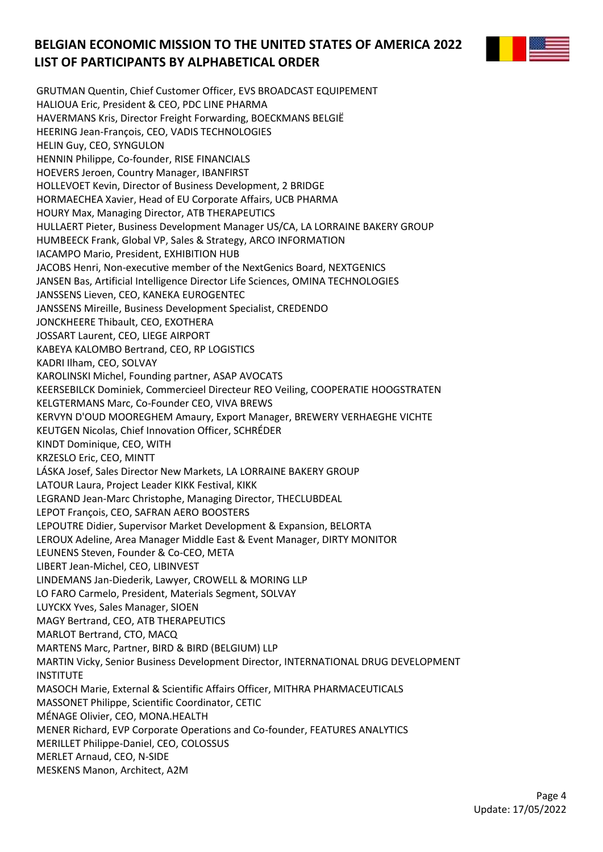GRUTMAN Quentin, Chief Customer Officer, EVS BROADCAST EQUIPEMENT HALIOUA Eric, President & CEO, PDC LINE PHARMA HAVERMANS Kris, Director Freight Forwarding, BOECKMANS BELGIË HEERING Jean-François, CEO, VADIS TECHNOLOGIES HELIN Guy, CEO, SYNGULON HENNIN Philippe, Co-founder, RISE FINANCIALS HOEVERS Jeroen, Country Manager, IBANFIRST HOLLEVOET Kevin, Director of Business Development, 2 BRIDGE HORMAECHEA Xavier, Head of EU Corporate Affairs, UCB PHARMA HOURY Max, Managing Director, ATB THERAPEUTICS HULLAERT Pieter, Business Development Manager US/CA, LA LORRAINE BAKERY GROUP HUMBEECK Frank, Global VP, Sales & Strategy, ARCO INFORMATION IACAMPO Mario, President, EXHIBITION HUB JACOBS Henri, Non-executive member of the NextGenics Board, NEXTGENICS JANSEN Bas, Artificial Intelligence Director Life Sciences, OMINA TECHNOLOGIES JANSSENS Lieven, CEO, KANEKA EUROGENTEC JANSSENS Mireille, Business Development Specialist, CREDENDO JONCKHEERE Thibault, CEO, EXOTHERA JOSSART Laurent, CEO, LIEGE AIRPORT KABEYA KALOMBO Bertrand, CEO, RP LOGISTICS KADRI Ilham, CEO, SOLVAY KAROLINSKI Michel, Founding partner, ASAP AVOCATS KEERSEBILCK Dominiek, Commercieel Directeur REO Veiling, COOPERATIE HOOGSTRATEN KELGTERMANS Marc, Co-Founder CEO, VIVA BREWS KERVYN D'OUD MOOREGHEM Amaury, Export Manager, BREWERY VERHAEGHE VICHTE KEUTGEN Nicolas, Chief Innovation Officer, SCHRÉDER KINDT Dominique, CEO, WITH KRZESLO Eric, CEO, MINTT LÁSKA Josef, Sales Director New Markets, LA LORRAINE BAKERY GROUP LATOUR Laura, Project Leader KIKK Festival, KIKK LEGRAND Jean-Marc Christophe, Managing Director, THECLUBDEAL LEPOT François, CEO, SAFRAN AERO BOOSTERS LEPOUTRE Didier, Supervisor Market Development & Expansion, BELORTA LEROUX Adeline, Area Manager Middle East & Event Manager, DIRTY MONITOR LEUNENS Steven, Founder & Co-CEO, META LIBERT Jean-Michel, CEO, LIBINVEST LINDEMANS Jan-Diederik, Lawyer, CROWELL & MORING LLP LO FARO Carmelo, President, Materials Segment, SOLVAY LUYCKX Yves, Sales Manager, SIOEN MAGY Bertrand, CEO, ATB THERAPEUTICS MARLOT Bertrand, CTO, MACQ MARTENS Marc, Partner, BIRD & BIRD (BELGIUM) LLP MARTIN Vicky, Senior Business Development Director, INTERNATIONAL DRUG DEVELOPMENT **INSTITUTE** MASOCH Marie, External & Scientific Affairs Officer, MITHRA PHARMACEUTICALS MASSONET Philippe, Scientific Coordinator, CETIC MÉNAGE Olivier, CEO, MONA.HEALTH MENER Richard, EVP Corporate Operations and Co-founder, FEATURES ANALYTICS MERILLET Philippe-Daniel, CEO, COLOSSUS MERLET Arnaud, CEO, N-SIDE MESKENS Manon, Architect, A2M



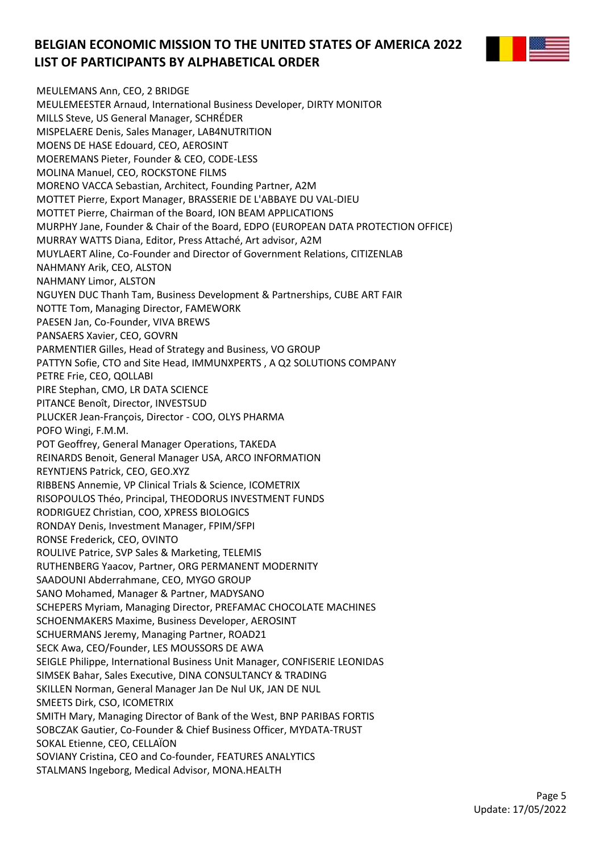

MEULEMANS Ann, CEO, 2 BRIDGE MEULEMEESTER Arnaud, International Business Developer, DIRTY MONITOR MILLS Steve, US General Manager, SCHRÉDER MISPELAERE Denis, Sales Manager, LAB4NUTRITION MOENS DE HASE Edouard, CEO, AEROSINT MOEREMANS Pieter, Founder & CEO, CODE-LESS MOLINA Manuel, CEO, ROCKSTONE FILMS MORENO VACCA Sebastian, Architect, Founding Partner, A2M MOTTET Pierre, Export Manager, BRASSERIE DE L'ABBAYE DU VAL-DIEU MOTTET Pierre, Chairman of the Board, ION BEAM APPLICATIONS MURPHY Jane, Founder & Chair of the Board, EDPO (EUROPEAN DATA PROTECTION OFFICE) MURRAY WATTS Diana, Editor, Press Attaché, Art advisor, A2M MUYLAERT Aline, Co-Founder and Director of Government Relations, CITIZENLAB NAHMANY Arik, CEO, ALSTON NAHMANY Limor, ALSTON NGUYEN DUC Thanh Tam, Business Development & Partnerships, CUBE ART FAIR NOTTE Tom, Managing Director, FAMEWORK PAESEN Jan, Co-Founder, VIVA BREWS PANSAERS Xavier, CEO, GOVRN PARMENTIER Gilles, Head of Strategy and Business, VO GROUP PATTYN Sofie, CTO and Site Head, IMMUNXPERTS , A Q2 SOLUTIONS COMPANY PETRE Frie, CEO, QOLLABI PIRE Stephan, CMO, LR DATA SCIENCE PITANCE Benoît, Director, INVESTSUD PLUCKER Jean-François, Director - COO, OLYS PHARMA POFO Wingi, F.M.M. POT Geoffrey, General Manager Operations, TAKEDA REINARDS Benoit, General Manager USA, ARCO INFORMATION REYNTJENS Patrick, CEO, GEO.XYZ RIBBENS Annemie, VP Clinical Trials & Science, ICOMETRIX RISOPOULOS Théo, Principal, THEODORUS INVESTMENT FUNDS RODRIGUEZ Christian, COO, XPRESS BIOLOGICS RONDAY Denis, Investment Manager, FPIM/SFPI RONSE Frederick, CEO, OVINTO ROULIVE Patrice, SVP Sales & Marketing, TELEMIS RUTHENBERG Yaacov, Partner, ORG PERMANENT MODERNITY SAADOUNI Abderrahmane, CEO, MYGO GROUP SANO Mohamed, Manager & Partner, MADYSANO SCHEPERS Myriam, Managing Director, PREFAMAC CHOCOLATE MACHINES SCHOENMAKERS Maxime, Business Developer, AEROSINT SCHUERMANS Jeremy, Managing Partner, ROAD21 SECK Awa, CEO/Founder, LES MOUSSORS DE AWA SEIGLE Philippe, International Business Unit Manager, CONFISERIE LEONIDAS SIMSEK Bahar, Sales Executive, DINA CONSULTANCY & TRADING SKILLEN Norman, General Manager Jan De Nul UK, JAN DE NUL SMEETS Dirk, CSO, ICOMETRIX SMITH Mary, Managing Director of Bank of the West, BNP PARIBAS FORTIS SOBCZAK Gautier, Co-Founder & Chief Business Officer, MYDATA-TRUST SOKAL Etienne, CEO, CELLAÏON SOVIANY Cristina, CEO and Co-founder, FEATURES ANALYTICS STALMANS Ingeborg, Medical Advisor, MONA.HEALTH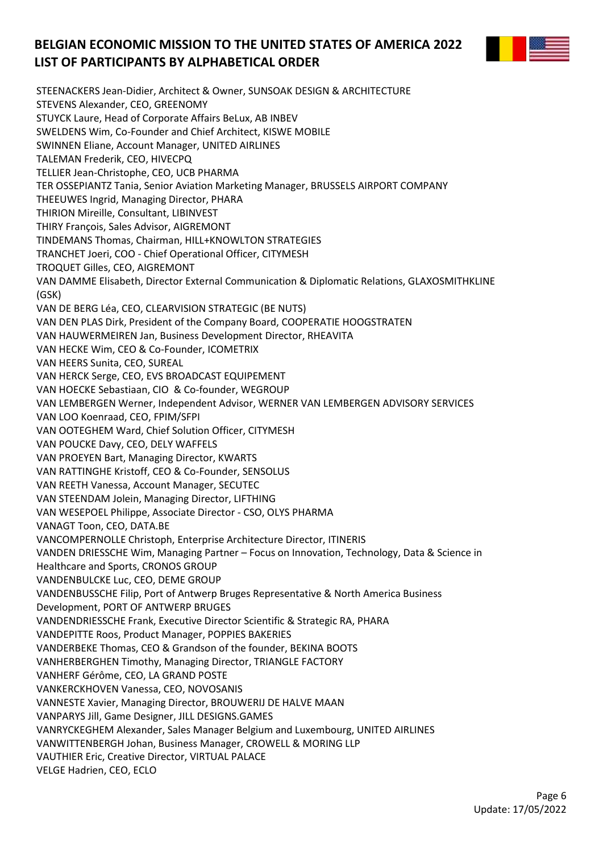

STEENACKERS Jean-Didier, Architect & Owner, SUNSOAK DESIGN & ARCHITECTURE STEVENS Alexander, CEO, GREENOMY STUYCK Laure, Head of Corporate Affairs BeLux, AB INBEV SWELDENS Wim, Co-Founder and Chief Architect, KISWE MOBILE SWINNEN Eliane, Account Manager, UNITED AIRLINES TALEMAN Frederik, CEO, HIVECPQ TELLIER Jean-Christophe, CEO, UCB PHARMA TER OSSEPIANTZ Tania, Senior Aviation Marketing Manager, BRUSSELS AIRPORT COMPANY THEEUWES Ingrid, Managing Director, PHARA THIRION Mireille, Consultant, LIBINVEST THIRY François, Sales Advisor, AIGREMONT TINDEMANS Thomas, Chairman, HILL+KNOWLTON STRATEGIES TRANCHET Joeri, COO - Chief Operational Officer, CITYMESH TROQUET Gilles, CEO, AIGREMONT VAN DAMME Elisabeth, Director External Communication & Diplomatic Relations, GLAXOSMITHKLINE (GSK) VAN DE BERG Léa, CEO, CLEARVISION STRATEGIC (BE NUTS) VAN DEN PLAS Dirk, President of the Company Board, COOPERATIE HOOGSTRATEN VAN HAUWERMEIREN Jan, Business Development Director, RHEAVITA VAN HECKE Wim, CEO & Co-Founder, ICOMETRIX VAN HEERS Sunita, CEO, SUREAL VAN HERCK Serge, CEO, EVS BROADCAST EQUIPEMENT VAN HOECKE Sebastiaan, CIO & Co-founder, WEGROUP VAN LEMBERGEN Werner, Independent Advisor, WERNER VAN LEMBERGEN ADVISORY SERVICES VAN LOO Koenraad, CEO, FPIM/SFPI VAN OOTEGHEM Ward, Chief Solution Officer, CITYMESH VAN POUCKE Davy, CEO, DELY WAFFELS VAN PROEYEN Bart, Managing Director, KWARTS VAN RATTINGHE Kristoff, CEO & Co-Founder, SENSOLUS VAN REETH Vanessa, Account Manager, SECUTEC VAN STEENDAM Jolein, Managing Director, LIFTHING VAN WESEPOEL Philippe, Associate Director - CSO, OLYS PHARMA VANAGT Toon, CEO, DATA.BE VANCOMPERNOLLE Christoph, Enterprise Architecture Director, ITINERIS VANDEN DRIESSCHE Wim, Managing Partner – Focus on Innovation, Technology, Data & Science in Healthcare and Sports, CRONOS GROUP VANDENBULCKE Luc, CEO, DEME GROUP VANDENBUSSCHE Filip, Port of Antwerp Bruges Representative & North America Business Development, PORT OF ANTWERP BRUGES VANDENDRIESSCHE Frank, Executive Director Scientific & Strategic RA, PHARA VANDEPITTE Roos, Product Manager, POPPIES BAKERIES VANDERBEKE Thomas, CEO & Grandson of the founder, BEKINA BOOTS VANHERBERGHEN Timothy, Managing Director, TRIANGLE FACTORY VANHERF Gérôme, CEO, LA GRAND POSTE VANKERCKHOVEN Vanessa, CEO, NOVOSANIS VANNESTE Xavier, Managing Director, BROUWERIJ DE HALVE MAAN VANPARYS Jill, Game Designer, JILL DESIGNS.GAMES VANRYCKEGHEM Alexander, Sales Manager Belgium and Luxembourg, UNITED AIRLINES VANWITTENBERGH Johan, Business Manager, CROWELL & MORING LLP VAUTHIER Eric, Creative Director, VIRTUAL PALACE VELGE Hadrien, CEO, ECLO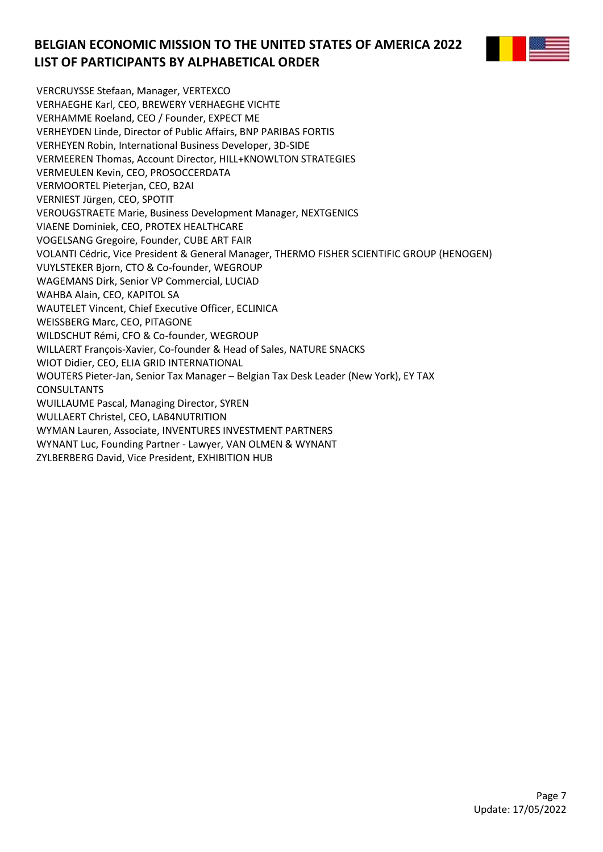

VERCRUYSSE Stefaan, Manager, VERTEXCO VERHAEGHE Karl, CEO, BREWERY VERHAEGHE VICHTE VERHAMME Roeland, CEO / Founder, EXPECT ME VERHEYDEN Linde, Director of Public Affairs, BNP PARIBAS FORTIS VERHEYEN Robin, International Business Developer, 3D-SIDE VERMEEREN Thomas, Account Director, HILL+KNOWLTON STRATEGIES VERMEULEN Kevin, CEO, PROSOCCERDATA VERMOORTEL Pieterjan, CEO, B2AI VERNIEST Jürgen, CEO, SPOTIT VEROUGSTRAETE Marie, Business Development Manager, NEXTGENICS VIAENE Dominiek, CEO, PROTEX HEALTHCARE VOGELSANG Gregoire, Founder, CUBE ART FAIR VOLANTI Cédric, Vice President & General Manager, THERMO FISHER SCIENTIFIC GROUP (HENOGEN) VUYLSTEKER Bjorn, CTO & Co-founder, WEGROUP WAGEMANS Dirk, Senior VP Commercial, LUCIAD WAHBA Alain, CEO, KAPITOL SA WAUTELET Vincent, Chief Executive Officer, ECLINICA WEISSBERG Marc, CEO, PITAGONE WILDSCHUT Rémi, CFO & Co-founder, WEGROUP WILLAERT François-Xavier, Co-founder & Head of Sales, NATURE SNACKS WIOT Didier, CEO, ELIA GRID INTERNATIONAL WOUTERS Pieter-Jan, Senior Tax Manager – Belgian Tax Desk Leader (New York), EY TAX CONSULTANTS WUILLAUME Pascal, Managing Director, SYREN WULLAERT Christel, CEO, LAB4NUTRITION WYMAN Lauren, Associate, INVENTURES INVESTMENT PARTNERS WYNANT Luc, Founding Partner - Lawyer, VAN OLMEN & WYNANT ZYLBERBERG David, Vice President, EXHIBITION HUB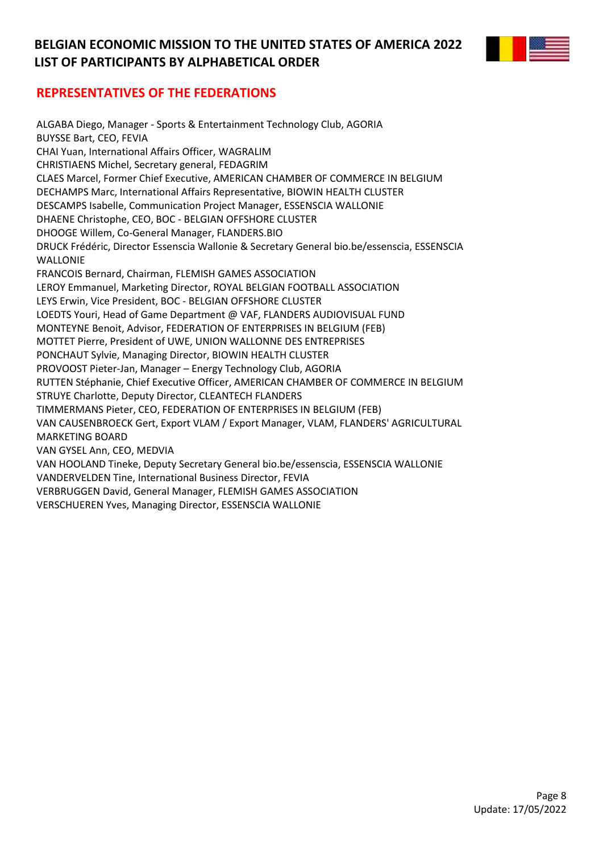

#### **REPRESENTATIVES OF THE FEDERATIONS**

ALGABA Diego, Manager - Sports & Entertainment Technology Club, AGORIA BUYSSE Bart, CEO, FEVIA CHAI Yuan, International Affairs Officer, WAGRALIM CHRISTIAENS Michel, Secretary general, FEDAGRIM CLAES Marcel, Former Chief Executive, AMERICAN CHAMBER OF COMMERCE IN BELGIUM DECHAMPS Marc, International Affairs Representative, BIOWIN HEALTH CLUSTER DESCAMPS Isabelle, Communication Project Manager, ESSENSCIA WALLONIE DHAENE Christophe, CEO, BOC - BELGIAN OFFSHORE CLUSTER DHOOGE Willem, Co-General Manager, FLANDERS.BIO DRUCK Frédéric, Director Essenscia Wallonie & Secretary General bio.be/essenscia, ESSENSCIA WALLONIE FRANCOIS Bernard, Chairman, FLEMISH GAMES ASSOCIATION LEROY Emmanuel, Marketing Director, ROYAL BELGIAN FOOTBALL ASSOCIATION LEYS Erwin, Vice President, BOC - BELGIAN OFFSHORE CLUSTER LOEDTS Youri, Head of Game Department @ VAF, FLANDERS AUDIOVISUAL FUND MONTEYNE Benoit, Advisor, FEDERATION OF ENTERPRISES IN BELGIUM (FEB) MOTTET Pierre, President of UWE, UNION WALLONNE DES ENTREPRISES PONCHAUT Sylvie, Managing Director, BIOWIN HEALTH CLUSTER PROVOOST Pieter-Jan, Manager – Energy Technology Club, AGORIA RUTTEN Stéphanie, Chief Executive Officer, AMERICAN CHAMBER OF COMMERCE IN BELGIUM STRUYE Charlotte, Deputy Director, CLEANTECH FLANDERS TIMMERMANS Pieter, CEO, FEDERATION OF ENTERPRISES IN BELGIUM (FEB) VAN CAUSENBROECK Gert, Export VLAM / Export Manager, VLAM, FLANDERS' AGRICULTURAL MARKETING BOARD VAN GYSEL Ann, CEO, MEDVIA VAN HOOLAND Tineke, Deputy Secretary General bio.be/essenscia, ESSENSCIA WALLONIE VANDERVELDEN Tine, International Business Director, FEVIA VERBRUGGEN David, General Manager, FLEMISH GAMES ASSOCIATION

VERSCHUEREN Yves, Managing Director, ESSENSCIA WALLONIE